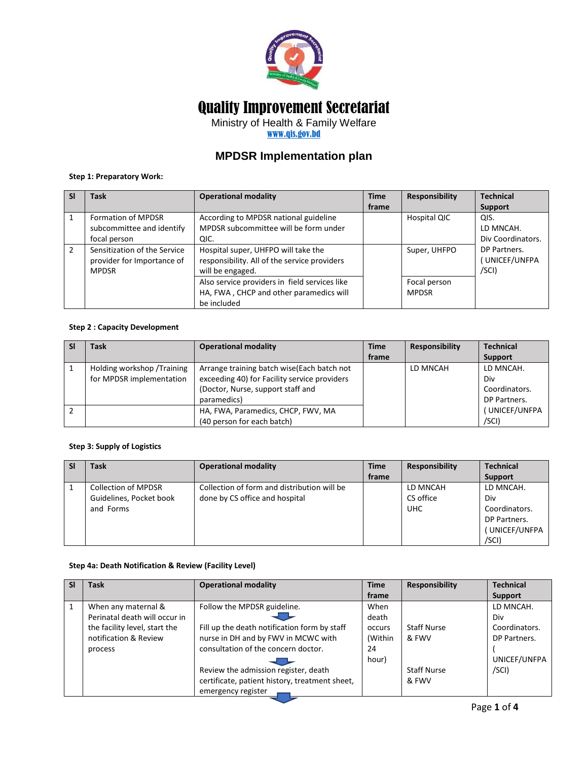

# Quality Improvement Secretariat

Ministry of Health & Family Welfare

[www.qis.gov.bd](http://www.qis.gov.bd/)

## **MPDSR Implementation plan**

## **Step 1: Preparatory Work:**

| -SI | <b>Task</b>                                                                | <b>Operational modality</b>                                                                             | <b>Time</b> | Responsibility               | <b>Technical</b>                       |
|-----|----------------------------------------------------------------------------|---------------------------------------------------------------------------------------------------------|-------------|------------------------------|----------------------------------------|
|     |                                                                            |                                                                                                         | frame       |                              | Support                                |
|     | <b>Formation of MPDSR</b><br>subcommittee and identify<br>focal person     | According to MPDSR national guideline<br>MPDSR subcommittee will be form under<br>QIC.                  |             | Hospital QIC                 | QIS.<br>LD MNCAH.<br>Div Coordinators. |
| 2   | Sensitization of the Service<br>provider for Importance of<br><b>MPDSR</b> | Hospital super, UHFPO will take the<br>responsibility. All of the service providers<br>will be engaged. |             | Super, UHFPO                 | DP Partners.<br>UNICEF/UNFPA<br>/SCI)  |
|     |                                                                            | Also service providers in field services like<br>HA, FWA, CHCP and other paramedics will<br>be included |             | Focal person<br><b>MPDSR</b> |                                        |

### **Step 2 : Capacity Development**

| <b>SI</b> | Task                        | <b>Operational modality</b>                  | <b>Time</b> | <b>Responsibility</b> | <b>Technical</b> |
|-----------|-----------------------------|----------------------------------------------|-------------|-----------------------|------------------|
|           |                             |                                              | frame       |                       | Support          |
|           | Holding workshop / Training | Arrange training batch wise (Each batch not  |             | LD MNCAH              | LD MNCAH.        |
|           | for MPDSR implementation    | exceeding 40) for Facility service providers |             |                       | Div              |
|           |                             | (Doctor, Nurse, support staff and            |             |                       | Coordinators.    |
|           |                             | paramedics)                                  |             |                       | DP Partners.     |
|           |                             | HA, FWA, Paramedics, CHCP, FWV, MA           |             |                       | (UNICEF/UNFPA    |
|           |                             | (40 person for each batch)                   |             |                       | /SCI)            |

#### **Step 3: Supply of Logistics**

| Task                       | <b>Operational modality</b>                 | <b>Time</b> | <b>Responsibility</b> | <b>Technical</b> |
|----------------------------|---------------------------------------------|-------------|-----------------------|------------------|
|                            |                                             | frame       |                       | <b>Support</b>   |
| <b>Collection of MPDSR</b> | Collection of form and distribution will be |             | LD MNCAH              | LD MNCAH.        |
| Guidelines, Pocket book    | done by CS office and hospital              |             | CS office             | Div              |
| and Forms                  |                                             |             | <b>UHC</b>            | Coordinators.    |
|                            |                                             |             |                       | DP Partners.     |
|                            |                                             |             |                       | UNICEF/UNFPA     |
|                            |                                             |             |                       | /SCI)            |

## **Step 4a: Death Notification & Review (Facility Level)**

|              | <b>Task</b>                   | <b>Operational modality</b>                    | <b>Time</b> | <b>Responsibility</b> | <b>Technical</b> |
|--------------|-------------------------------|------------------------------------------------|-------------|-----------------------|------------------|
|              |                               |                                                | frame       |                       | Support          |
| $\mathbf{1}$ | When any maternal &           | Follow the MPDSR guideline.                    | When        |                       | LD MNCAH.        |
|              | Perinatal death will occur in |                                                | death       |                       | Div              |
|              | the facility level, start the | Fill up the death notification form by staff   | occurs      | <b>Staff Nurse</b>    | Coordinators.    |
|              | notification & Review         | nurse in DH and by FWV in MCWC with            | (Within     | & FWV                 | DP Partners.     |
|              | process                       | consultation of the concern doctor.            | 24          |                       |                  |
|              |                               |                                                | hour)       |                       | UNICEF/UNFPA     |
|              |                               | Review the admission register, death           |             | <b>Staff Nurse</b>    | /SCI)            |
|              |                               | certificate, patient history, treatment sheet, |             | & FWV                 |                  |
|              |                               | emergency register                             |             |                       |                  |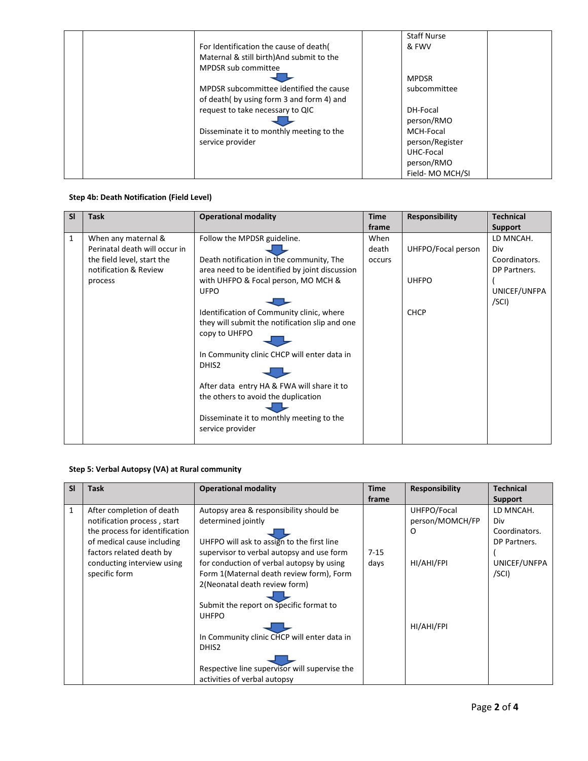|                                           | <b>Staff Nurse</b> |
|-------------------------------------------|--------------------|
| For Identification the cause of death(    | & FWV              |
| Maternal & still birth) And submit to the |                    |
| MPDSR sub committee                       |                    |
|                                           | <b>MPDSR</b>       |
| MPDSR subcommittee identified the cause   | subcommittee       |
| of death(by using form 3 and form 4) and  |                    |
| request to take necessary to QIC          | DH-Focal           |
|                                           | person/RMO         |
| Disseminate it to monthly meeting to the  | MCH-Focal          |
| service provider                          | person/Register    |
|                                           | UHC-Focal          |
|                                           | person/RMO         |
|                                           | Field-MO MCH/SI    |

## **Step 4b: Death Notification (Field Level)**

| <b>SI</b>    | <b>Task</b>                   | <b>Operational modality</b>                    | <b>Time</b> | <b>Responsibility</b> | <b>Technical</b> |
|--------------|-------------------------------|------------------------------------------------|-------------|-----------------------|------------------|
|              |                               |                                                | frame       |                       | <b>Support</b>   |
| $\mathbf{1}$ | When any maternal &           | Follow the MPDSR guideline.                    | When        |                       | LD MNCAH.        |
|              | Perinatal death will occur in |                                                | death       | UHFPO/Focal person    | Div              |
|              | the field level, start the    | Death notification in the community, The       | occurs      |                       | Coordinators.    |
|              | notification & Review         | area need to be identified by joint discussion |             |                       | DP Partners.     |
|              | process                       | with UHFPO & Focal person, MO MCH &            |             | <b>UHFPO</b>          |                  |
|              |                               | <b>UFPO</b>                                    |             |                       | UNICEF/UNFPA     |
|              |                               |                                                |             |                       | /SCI)            |
|              |                               | Identification of Community clinic, where      |             | <b>CHCP</b>           |                  |
|              |                               | they will submit the notification slip and one |             |                       |                  |
|              |                               | copy to UHFPO                                  |             |                       |                  |
|              |                               | In Community clinic CHCP will enter data in    |             |                       |                  |
|              |                               | DHIS <sub>2</sub>                              |             |                       |                  |
|              |                               | After data entry HA & FWA will share it to     |             |                       |                  |
|              |                               | the others to avoid the duplication            |             |                       |                  |
|              |                               |                                                |             |                       |                  |
|              |                               | Disseminate it to monthly meeting to the       |             |                       |                  |
|              |                               | service provider                               |             |                       |                  |
|              |                               |                                                |             |                       |                  |

## **Step 5: Verbal Autopsy (VA) at Rural community**

| <b>SI</b>    | <b>Task</b>                    | <b>Operational modality</b>                   | <b>Time</b> | <b>Responsibility</b> | <b>Technical</b> |
|--------------|--------------------------------|-----------------------------------------------|-------------|-----------------------|------------------|
|              |                                |                                               | frame       |                       | Support          |
| $\mathbf{1}$ | After completion of death      | Autopsy area & responsibility should be       |             | UHFPO/Focal           | LD MNCAH.        |
|              | notification process, start    | determined jointly                            |             | person/MOMCH/FP       | Div              |
|              | the process for identification |                                               |             | O                     | Coordinators.    |
|              | of medical cause including     | UHFPO will ask to assign to the first line    |             |                       | DP Partners.     |
|              | factors related death by       | supervisor to verbal autopsy and use form     | $7 - 15$    |                       |                  |
|              | conducting interview using     | for conduction of verbal autopsy by using     | days        | HI/AHI/FPI            | UNICEF/UNFPA     |
|              | specific form                  | Form 1(Maternal death review form), Form      |             |                       | /SCI)            |
|              |                                | 2(Neonatal death review form)                 |             |                       |                  |
|              |                                |                                               |             |                       |                  |
|              |                                | Submit the report on specific format to       |             |                       |                  |
|              |                                | <b>UHFPO</b>                                  |             |                       |                  |
|              |                                |                                               |             | HI/AHI/FPI            |                  |
|              |                                | In Community clinic CHCP will enter data in   |             |                       |                  |
|              |                                | DHIS <sub>2</sub>                             |             |                       |                  |
|              |                                |                                               |             |                       |                  |
|              |                                | Respective line supervisor will supervise the |             |                       |                  |
|              |                                | activities of verbal autopsy                  |             |                       |                  |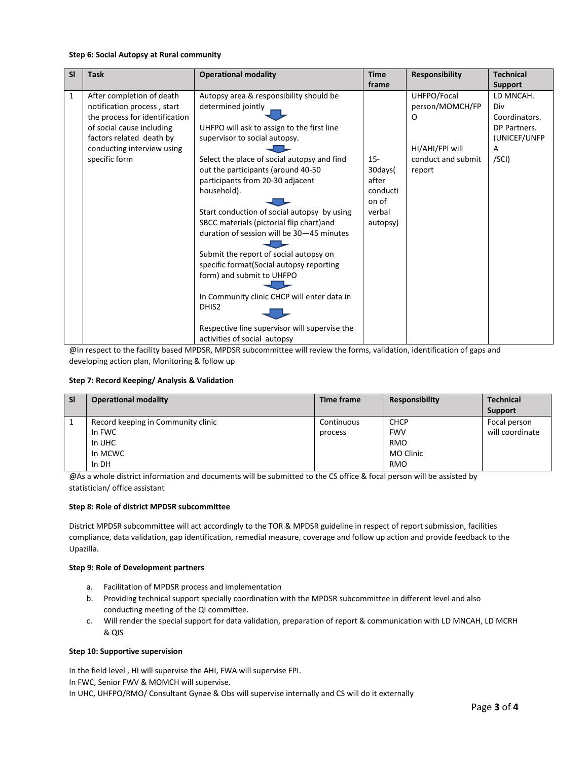#### **Step 6: Social Autopsy at Rural community**

| <b>SI</b>    | <b>Task</b>                    | <b>Operational modality</b>                   | <b>Time</b> | <b>Responsibility</b> | <b>Technical</b> |
|--------------|--------------------------------|-----------------------------------------------|-------------|-----------------------|------------------|
|              |                                |                                               | frame       |                       | <b>Support</b>   |
| $\mathbf{1}$ | After completion of death      | Autopsy area & responsibility should be       |             | UHFPO/Focal           | LD MNCAH.        |
|              | notification process, start    | determined jointly                            |             | person/MOMCH/FP       | Div              |
|              | the process for identification |                                               |             | O                     | Coordinators.    |
|              | of social cause including      | UHFPO will ask to assign to the first line    |             |                       | DP Partners.     |
|              | factors related death by       | supervisor to social autopsy.                 |             |                       | (UNICEF/UNFP     |
|              | conducting interview using     |                                               |             | HI/AHI/FPI will       | A                |
|              | specific form                  | Select the place of social autopsy and find   | $15 -$      | conduct and submit    | /SCI)            |
|              |                                | out the participants (around 40-50            | 30days(     | report                |                  |
|              |                                | participants from 20-30 adjacent              | after       |                       |                  |
|              |                                | household).                                   | conducti    |                       |                  |
|              |                                |                                               | on of       |                       |                  |
|              |                                | Start conduction of social autopsy by using   | verbal      |                       |                  |
|              |                                | SBCC materials (pictorial flip chart) and     | autopsy)    |                       |                  |
|              |                                | duration of session will be 30-45 minutes     |             |                       |                  |
|              |                                |                                               |             |                       |                  |
|              |                                | Submit the report of social autopsy on        |             |                       |                  |
|              |                                | specific format(Social autopsy reporting      |             |                       |                  |
|              |                                | form) and submit to UHFPO                     |             |                       |                  |
|              |                                |                                               |             |                       |                  |
|              |                                | In Community clinic CHCP will enter data in   |             |                       |                  |
|              |                                | DHIS <sub>2</sub>                             |             |                       |                  |
|              |                                |                                               |             |                       |                  |
|              |                                | Respective line supervisor will supervise the |             |                       |                  |
|              |                                | activities of social autopsy                  |             |                       |                  |

@In respect to the facility based MPDSR, MPDSR subcommittee will review the forms, validation, identification of gaps and developing action plan, Monitoring & follow up

#### **Step 7: Record Keeping/ Analysis & Validation**

| <b>SI</b> | <b>Operational modality</b>        | Time frame | <b>Responsibility</b> | <b>Technical</b> |
|-----------|------------------------------------|------------|-----------------------|------------------|
|           |                                    |            |                       | Support          |
|           | Record keeping in Community clinic | Continuous | <b>CHCP</b>           | Focal person     |
|           | In FWC                             | process    | <b>FWV</b>            | will coordinate  |
|           | In UHC                             |            | <b>RMO</b>            |                  |
|           | In MCWC                            |            | MO Clinic             |                  |
|           | In DH                              |            | <b>RMO</b>            |                  |

@As a whole district information and documents will be submitted to the CS office & focal person will be assisted by statistician/ office assistant

#### **Step 8: Role of district MPDSR subcommittee**

District MPDSR subcommittee will act accordingly to the TOR & MPDSR guideline in respect of report submission, facilities compliance, data validation, gap identification, remedial measure, coverage and follow up action and provide feedback to the Upazilla.

#### **Step 9: Role of Development partners**

- a. Facilitation of MPDSR process and implementation
- b. Providing technical support specially coordination with the MPDSR subcommittee in different level and also conducting meeting of the QI committee.
- c. Will render the special support for data validation, preparation of report & communication with LD MNCAH, LD MCRH & QIS

#### **Step 10: Supportive supervision**

In the field level , HI will supervise the AHI, FWA will supervise FPI. In FWC, Senior FWV & MOMCH will supervise. In UHC, UHFPO/RMO/ Consultant Gynae & Obs will supervise internally and CS will do it externally